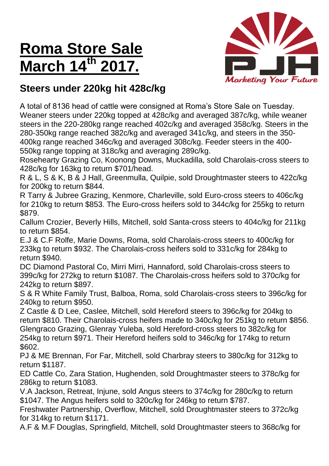## **Roma Store Sale March 14**



## **Steers under 220kg hit 428c/kg**

A total of 8136 head of cattle were consigned at Roma's Store Sale on Tuesday. Weaner steers under 220kg topped at 428c/kg and averaged 387c/kg, while weaner steers in the 220-280kg range reached 402c/kg and averaged 358c/kg. Steers in the 280-350kg range reached 382c/kg and averaged 341c/kg, and steers in the 350- 400kg range reached 346c/kg and averaged 308c/kg. Feeder steers in the 400- 550kg range topping at 318c/kg and averaging 289c/kg.

Rosehearty Grazing Co, Koonong Downs, Muckadilla, sold Charolais-cross steers to 428c/kg for 163kg to return \$701/head.

R & L, S & K, B & J Hall, Greenmulla, Quilpie, sold Droughtmaster steers to 422c/kg for 200kg to return \$844.

R Tarry & Jubree Grazing, Kenmore, Charleville, sold Euro-cross steers to 406c/kg for 210kg to return \$853. The Euro-cross heifers sold to 344c/kg for 255kg to return \$879.

Callum Crozier, Beverly Hills, Mitchell, sold Santa-cross steers to 404c/kg for 211kg to return \$854.

E.J & C.F Rolfe, Marie Downs, Roma, sold Charolais-cross steers to 400c/kg for 233kg to return \$932. The Charolais-cross heifers sold to 331c/kg for 284kg to return \$940.

DC Diamond Pastoral Co, Mirri Mirri, Hannaford, sold Charolais-cross steers to 399c/kg for 272kg to return \$1087. The Charolais-cross heifers sold to 370c/kg for 242kg to return \$897.

S & R White Family Trust, Balboa, Roma, sold Charolais-cross steers to 396c/kg for 240kg to return \$950.

Z Castle & D Lee, Caslee, Mitchell, sold Hereford steers to 396c/kg for 204kg to return \$810. Their Charolais-cross heifers made to 340c/kg for 251kg to return \$856. Glengraco Grazing, Glenray Yuleba, sold Hereford-cross steers to 382c/kg for 254kg to return \$971. Their Hereford heifers sold to 346c/kg for 174kg to return \$602.

PJ & ME Brennan, For Far, Mitchell, sold Charbray steers to 380c/kg for 312kg to return \$1187.

ED Cattle Co, Zara Station, Hughenden, sold Droughtmaster steers to 378c/kg for 286kg to return \$1083.

V.A Jackson, Retreat, Injune, sold Angus steers to 374c/kg for 280c/kg to return \$1047. The Angus heifers sold to 320c/kg for 246kg to return \$787.

Freshwater Partnership, Overflow, Mitchell, sold Droughtmaster steers to 372c/kg for 314kg to return \$1171.

A.F & M.F Douglas, Springfield, Mitchell, sold Droughtmaster steers to 368c/kg for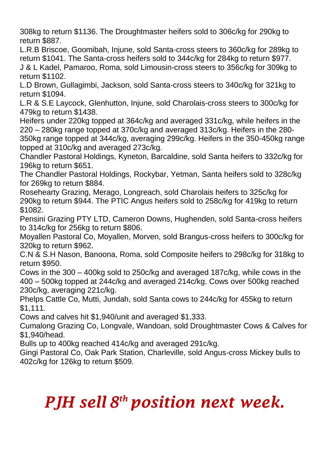308kg to return \$1136. The Droughtmaster heifers sold to 306c/kg for 290kg to return \$887.

L.R.B Briscoe, Goomibah, Injune, sold Santa-cross steers to 360c/kg for 289kg to return \$1041. The Santa-cross heifers sold to 344c/kg for 284kg to return \$977.

J & L Kadel, Pamaroo, Roma, sold Limousin-cross steers to 356c/kg for 309kg to return \$1102.

L.D Brown, Gullagimbi, Jackson, sold Santa-cross steers to 340c/kg for 321kg to return \$1094.

L.R & S.E Laycock, Glenhutton, Injune, sold Charolais-cross steers to 300c/kg for 479kg to return \$1438.

Heifers under 220kg topped at 364c/kg and averaged 331c/kg, while heifers in the 220 – 280kg range topped at 370c/kg and averaged 313c/kg. Heifers in the 280-

350kg range topped at 344c/kg, averaging 299c/kg. Heifers in the 350-450kg range topped at 310c/kg and averaged 273c/kg.

Chandler Pastoral Holdings, Kyneton, Barcaldine, sold Santa heifers to 332c/kg for 196kg to return \$651.

The Chandler Pastoral Holdings, Rockybar, Yetman, Santa heifers sold to 328c/kg for 269kg to return \$884.

Rosehearty Grazing, Merago, Longreach, sold Charolais heifers to 325c/kg for 290kg to return \$944. The PTIC Angus heifers sold to 258c/kg for 419kg to return \$1082.

Pensini Grazing PTY LTD, Cameron Downs, Hughenden, sold Santa-cross heifers to 314c/kg for 256kg to return \$806.

Moyallen Pastoral Co, Moyallen, Morven, sold Brangus-cross heifers to 300c/kg for 320kg to return \$962.

C.N & S.H Nason, Banoona, Roma, sold Composite heifers to 298c/kg for 318kg to return \$950.

Cows in the 300 – 400kg sold to 250c/kg and averaged 187c/kg, while cows in the 400 – 500kg topped at 244c/kg and averaged 214c/kg. Cows over 500kg reached 230c/kg, averaging 221c/kg.

Phelps Cattle Co, Mutti, Jundah, sold Santa cows to 244c/kg for 455kg to return \$1,111.

Cows and calves hit \$1,940/unit and averaged \$1,333.

Cumalong Grazing Co, Longvale, Wandoan, sold Droughtmaster Cows & Calves for \$1,940/head.

Bulls up to 400kg reached 414c/kg and averaged 291c/kg.

Gingi Pastoral Co, Oak Park Station, Charleville, sold Angus-cross Mickey bulls to 402c/kg for 126kg to return \$509.

## *PJH sell 8 th position next week.*